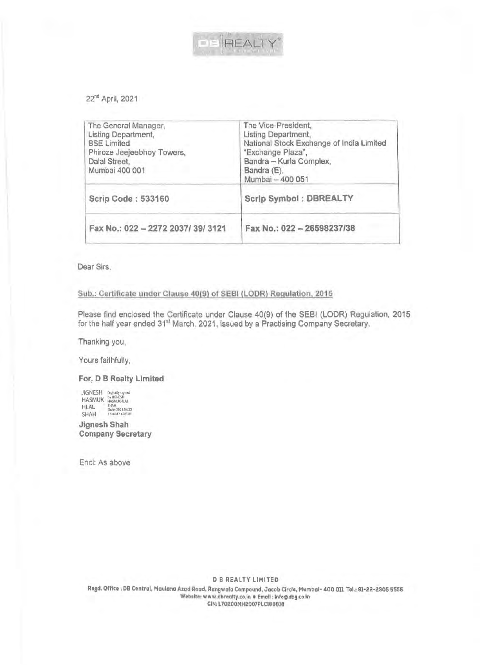

22nd April, 2021

| The General Manager.<br>Listing Department,<br><b>BSE Limited</b><br>Phiroze Jeejeebhoy Towers,<br>Dalal Street,<br>Mumbai 400 001 | The Vice-President,<br>Listing Department,<br>National Stock Exchange of India Limited<br>"Exchange Plaza",<br>Bandra - Kurla Complex,<br>Bandra (E),<br>Mumbai - 400 051 |
|------------------------------------------------------------------------------------------------------------------------------------|---------------------------------------------------------------------------------------------------------------------------------------------------------------------------|
| Scrip Code: 533160                                                                                                                 | Scrip Symbol: DBREALTY                                                                                                                                                    |
| Fax No.: 022 - 2272 2037/39/3121                                                                                                   | Fax No.: 022 - 26598237/38                                                                                                                                                |
|                                                                                                                                    |                                                                                                                                                                           |

Dear Sirs,

## Sub.: Certificate under Clause 40(9) of SEBI (LOOR) Regulation, 2015

Please find enclosed the Certificate under Clause 40(9) of the SEBI (LODR) Regulation, 2015 for the half year ended 31<sup>st</sup> March, 2021, issued by a Practising Company Secretary.

Thanking you,

Yours faithfully,

## **For, D B Realty Limited**

JIGNESH Digitally signed HASMUK HASMUKHLAL HLAL **Date: 2021.04.22**<br>SHAH 16:441:47 +05'30'

**Jignesh Shah Company Secretary** 

Encl: As above

DB REALTY LIMITED

Regd, Office: DB Central, Maulana Azad Road, Rangwola Compound, Jacob Circle, Mumbai- 400 011 Tel.: 91-22-2305 5556 Website: www.dbrealty.co.in • Email: Info@dbg.co.in CIN: L70200MH2007PLCl88818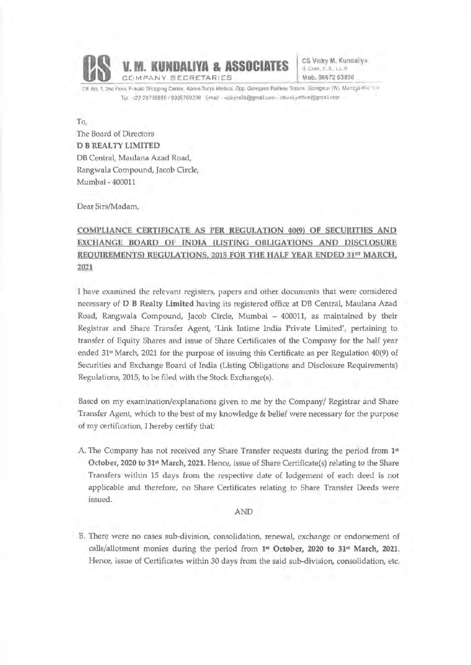

**CS Vicky M.** Kundaliya  $B$  Com  $C$  S. L.L.B. **Mob. 98672** 63830

Dit. No. 1, 2nd Floor. Prasad Shopping Centre. Above Surya Medical. Opp. Goregaon Railway Station, Goregaon (W), Mumbat-40c 1 (ii) Tel 122-28755855 / 9326769208 Email - vickycslib@gmail.com r csvickyotfice@gma.l.com

To, The Board of Directors **D B REAL TY LIMITED**  DB Central, Maulana Azad Road, Rangwala Compound, Jacob Circle, Mumbai - 400011

Dear Sirs/Madam,

# **COMPLIANCE CERTIFJCATE AS PER REGULATION 40(9) OF SECURITIES AND EXCHANGE BOARD OF INDIA (LISTING OBLIGATIONS AND DISCLOSURE REOUlREMENTS) REGULATIONS, 2015 FOR THE HALF YEAR ENDED** 315T **MARCH, 2021**

I have examined the relevant registers, papers and other documents that were considered necessary of **D B Realty Limited** having its registered office at DB Central, Maulana Azad Road, Rangwala Compound, Jacob Circle, Mumbai - 400011, as maintained by their Registrar and Share Transfer Agent, 'Link Intime India Private Limited', pertaining to transfer of Equity Shares and issue of Share Certificates of the Company for the half year ended 31<sup>st</sup> March, 2021 for the purpose of issuing this Certificate as per Regulation  $40(9)$  of Securities and Exchange Board of India (Listing Obligations and Disclosure Requirements) Regulations, 2015, to be filed with the Stock Exchange(s).

Based on my examination/explanations given to me by the Company/ Registrar and Share Transfer Agent, which to the best of my knowledge & belief were necessary for the purpose of my certification, I hereby certify that:

A. The Company has not received any Share Transfer requests during the period from 1<sup>st</sup> October, 2020 to 31•1 March, 2021. Hence, issue of Share Certificate(s) relating to the Share Transfers within 15 days from the respective date of lodgement of each deed is not applicable and therefore, no Share Certificates relating to Share Transfer Deeds were issued.

#### AND

B. There were no cases sub-division, consolidation, renewal, exchange or endorsement of calls/allotment monies during the period from **1•<sup>1</sup>October, 2020 to 31•1 March, 2021.**  Hence, issue of Certificates within 30 days from the said sub-division, consolidation, etc.